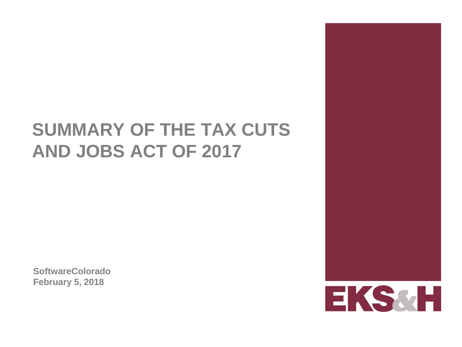# **SUMMARY OF THE TAX CUTS AND JOBS ACT OF 2017**

**SoftwareColorado February 5, 2018**

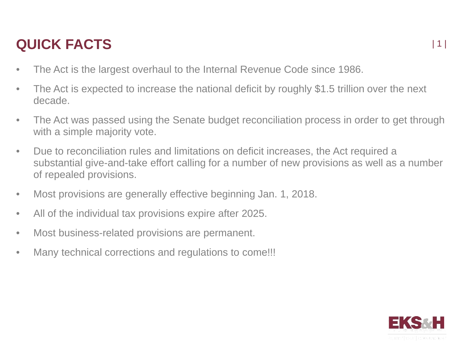### **QUICK FACTS**

- The Act is the largest overhaul to the Internal Revenue Code since 1986.
- The Act is expected to increase the national deficit by roughly \$1.5 trillion over the next decade.
- The Act was passed using the Senate budget reconciliation process in order to get through with a simple majority vote.
- Due to reconciliation rules and limitations on deficit increases, the Act required a substantial give-and-take effort calling for a number of new provisions as well as a number of repealed provisions.
- Most provisions are generally effective beginning Jan. 1, 2018.
- All of the individual tax provisions expire after 2025.
- Most business-related provisions are permanent.
- Many technical corrections and regulations to come!!!

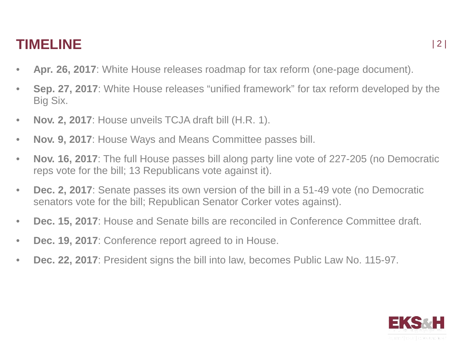### **TIMELINE**

- **Apr. 26, 2017**: White House releases roadmap for tax reform (one-page document).
- **Sep. 27, 2017**: White House releases "unified framework" for tax reform developed by the Big Six.
- **Nov. 2, 2017**: House unveils TCJA draft bill (H.R. 1).
- **Nov. 9, 2017**: House Ways and Means Committee passes bill.
- **Nov. 16, 2017**: The full House passes bill along party line vote of 227-205 (no Democratic reps vote for the bill; 13 Republicans vote against it).
- **Dec. 2, 2017**: Senate passes its own version of the bill in a 51-49 vote (no Democratic senators vote for the bill; Republican Senator Corker votes against).
- **Dec. 15, 2017**: House and Senate bills are reconciled in Conference Committee draft.
- **Dec. 19, 2017**: Conference report agreed to in House.
- **Dec. 22, 2017**: President signs the bill into law, becomes Public Law No. 115-97.

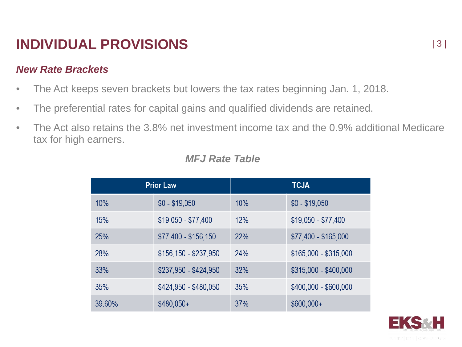#### *New Rate Brackets*

- The Act keeps seven brackets but lowers the tax rates beginning Jan. 1, 2018.
- The preferential rates for capital gains and qualified dividends are retained.
- The Act also retains the 3.8% net investment income tax and the 0.9% additional Medicare tax for high earners.

| <b>Prior Law</b> |                       | <b>TCJA</b> |                       |
|------------------|-----------------------|-------------|-----------------------|
| 10%              | $$0 - $19,050$        | 10%         | $$0 - $19,050$        |
| 15%              | $$19,050 - $77,400$   | 12%         | $$19,050 - $77,400$   |
| 25%              | $$77,400 - $156,150$  | 22%         | $$77,400 - $165,000$  |
| 28%              | $$156,150 - $237,950$ | 24%         | $$165,000 - $315,000$ |
| 33%              | \$237,950 - \$424,950 | 32%         | $$315,000 - $400,000$ |
| 35%              | \$424,950 - \$480,050 | 35%         | $$400,000 - $600,000$ |
| 39.60%           | $$480,050+$           | 37%         | $$600,000+$           |

### *MFJ Rate Table*

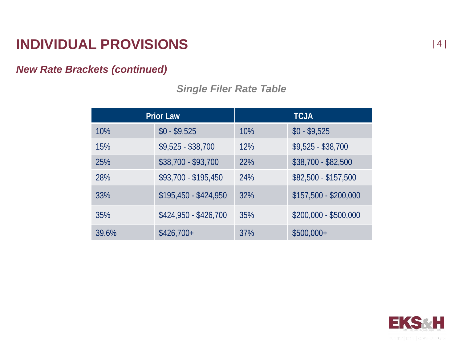### *New Rate Brackets (continued)*

| <b>Prior Law</b> |                       | <b>TCJA</b> |                       |
|------------------|-----------------------|-------------|-----------------------|
| 10%              | $$0 - $9,525$         | 10%         | $$0 - $9,525$         |
| 15%              | $$9,525 - $38,700$    | 12%         | $$9,525 - $38,700$    |
| 25%              | \$38,700 - \$93,700   | 22%         | $$38,700 - $82,500$   |
| 28%              | \$93,700 - \$195,450  | 24%         | \$82,500 - \$157,500  |
| 33%              | $$195,450 - $424,950$ | 32%         | $$157,500 - $200,000$ |
| 35%              | \$424,950 - \$426,700 | 35%         | $$200,000 - $500,000$ |
| 39.6%            | $$426,700+$           | 37%         | $$500,000+$           |

### *Single Filer Rate Table*

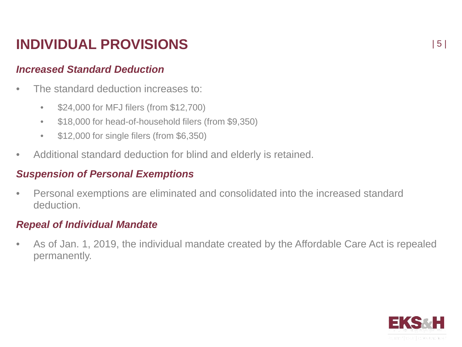#### *Increased Standard Deduction*

- The standard deduction increases to:
	- \$24,000 for MFJ filers (from \$12,700)
	- \$18,000 for head-of-household filers (from \$9,350)
	- \$12,000 for single filers (from \$6,350)
- Additional standard deduction for blind and elderly is retained.

#### *Suspension of Personal Exemptions*

• Personal exemptions are eliminated and consolidated into the increased standard deduction.

#### *Repeal of Individual Mandate*

• As of Jan. 1, 2019, the individual mandate created by the Affordable Care Act is repealed permanently.

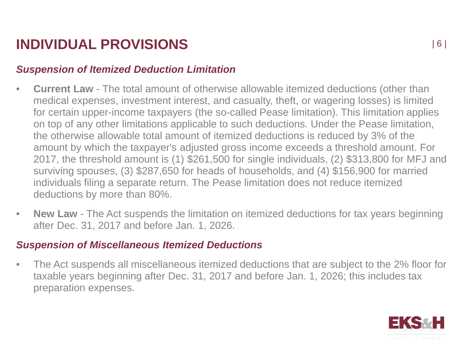### *Suspension of Itemized Deduction Limitation*

- **Current Law** The total amount of otherwise allowable itemized deductions (other than medical expenses, investment interest, and casualty, theft, or wagering losses) is limited for certain upper-income taxpayers (the so-called Pease limitation). This limitation applies on top of any other limitations applicable to such deductions. Under the Pease limitation, the otherwise allowable total amount of itemized deductions is reduced by 3% of the amount by which the taxpayer's adjusted gross income exceeds a threshold amount. For 2017, the threshold amount is (1) \$261,500 for single individuals, (2) \$313,800 for MFJ and surviving spouses, (3) \$287,650 for heads of households, and (4) \$156,900 for married individuals filing a separate return. The Pease limitation does not reduce itemized deductions by more than 80%.
- **New Law** The Act suspends the limitation on itemized deductions for tax years beginning after Dec. 31, 2017 and before Jan. 1, 2026.

#### *Suspension of Miscellaneous Itemized Deductions*

• The Act suspends all miscellaneous itemized deductions that are subject to the 2% floor for taxable years beginning after Dec. 31, 2017 and before Jan. 1, 2026; this includes tax preparation expenses.

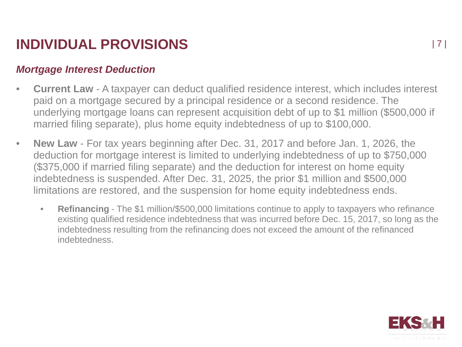#### *Mortgage Interest Deduction*

- **Current Law** A taxpayer can deduct qualified residence interest, which includes interest paid on a mortgage secured by a principal residence or a second residence. The underlying mortgage loans can represent acquisition debt of up to \$1 million (\$500,000 if married filing separate), plus home equity indebtedness of up to \$100,000.
- **New Law** For tax years beginning after Dec. 31, 2017 and before Jan. 1, 2026, the deduction for mortgage interest is limited to underlying indebtedness of up to \$750,000 (\$375,000 if married filing separate) and the deduction for interest on home equity indebtedness is suspended. After Dec. 31, 2025, the prior \$1 million and \$500,000 limitations are restored, and the suspension for home equity indebtedness ends.
	- **Refinancing** The \$1 million/\$500,000 limitations continue to apply to taxpayers who refinance existing qualified residence indebtedness that was incurred before Dec. 15, 2017, so long as the indebtedness resulting from the refinancing does not exceed the amount of the refinanced indebtedness.

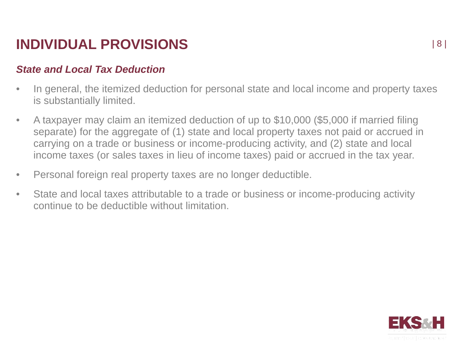#### *State and Local Tax Deduction*

- In general, the itemized deduction for personal state and local income and property taxes is substantially limited.
- A taxpayer may claim an itemized deduction of up to \$10,000 (\$5,000 if married filing separate) for the aggregate of (1) state and local property taxes not paid or accrued in carrying on a trade or business or income-producing activity, and (2) state and local income taxes (or sales taxes in lieu of income taxes) paid or accrued in the tax year.
- Personal foreign real property taxes are no longer deductible.
- State and local taxes attributable to a trade or business or income-producing activity continue to be deductible without limitation.

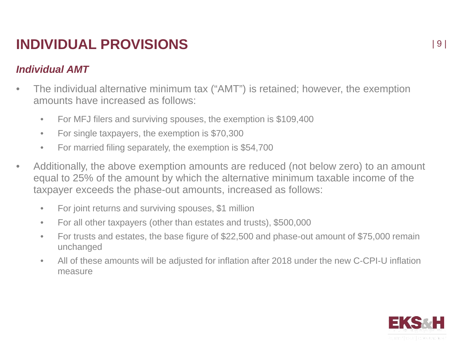### *Individual AMT*

- The individual alternative minimum tax ("AMT") is retained; however, the exemption amounts have increased as follows:
	- For MFJ filers and surviving spouses, the exemption is \$109,400
	- For single taxpayers, the exemption is \$70,300
	- For married filing separately, the exemption is \$54,700
- Additionally, the above exemption amounts are reduced (not below zero) to an amount equal to 25% of the amount by which the alternative minimum taxable income of the taxpayer exceeds the phase-out amounts, increased as follows:
	- For joint returns and surviving spouses, \$1 million
	- For all other taxpayers (other than estates and trusts), \$500,000
	- For trusts and estates, the base figure of \$22,500 and phase-out amount of \$75,000 remain unchanged
	- All of these amounts will be adjusted for inflation after 2018 under the new C-CPI-U inflation measure

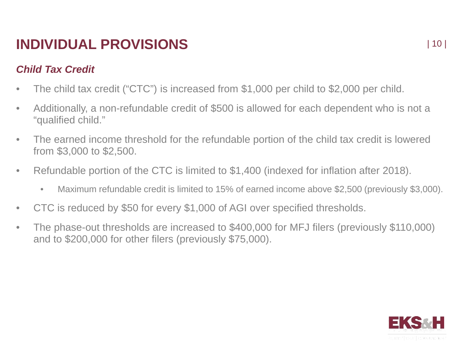### *Child Tax Credit*

- The child tax credit ("CTC") is increased from \$1,000 per child to \$2,000 per child.
- Additionally, a non-refundable credit of \$500 is allowed for each dependent who is not a "qualified child."
- The earned income threshold for the refundable portion of the child tax credit is lowered from \$3,000 to \$2,500.
- Refundable portion of the CTC is limited to \$1,400 (indexed for inflation after 2018).
	- Maximum refundable credit is limited to 15% of earned income above \$2,500 (previously \$3,000).
- CTC is reduced by \$50 for every \$1,000 of AGI over specified thresholds.
- The phase-out thresholds are increased to \$400,000 for MFJ filers (previously \$110,000) and to \$200,000 for other filers (previously \$75,000).

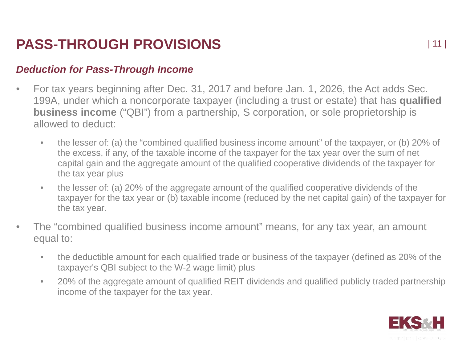#### *Deduction for Pass-Through Income*

- For tax years beginning after Dec. 31, 2017 and before Jan. 1, 2026, the Act adds Sec. 199A, under which a noncorporate taxpayer (including a trust or estate) that has **qualified business income** ("QBI") from a partnership, S corporation, or sole proprietorship is allowed to deduct:
	- the lesser of: (a) the "combined qualified business income amount" of the taxpayer, or (b) 20% of the excess, if any, of the taxable income of the taxpayer for the tax year over the sum of net capital gain and the aggregate amount of the qualified cooperative dividends of the taxpayer for the tax year plus
	- the lesser of: (a) 20% of the aggregate amount of the qualified cooperative dividends of the taxpayer for the tax year or (b) taxable income (reduced by the net capital gain) of the taxpayer for the tax year.
- The "combined qualified business income amount" means, for any tax year, an amount equal to:
	- the deductible amount for each qualified trade or business of the taxpayer (defined as 20% of the taxpayer's QBI subject to the W-2 wage limit) plus
	- 20% of the aggregate amount of qualified REIT dividends and qualified publicly traded partnership income of the taxpayer for the tax year.

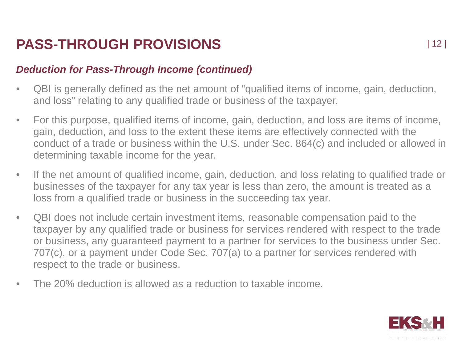#### *Deduction for Pass-Through Income (continued)*

- QBI is generally defined as the net amount of "qualified items of income, gain, deduction, and loss" relating to any qualified trade or business of the taxpayer.
- For this purpose, qualified items of income, gain, deduction, and loss are items of income, gain, deduction, and loss to the extent these items are effectively connected with the conduct of a trade or business within the U.S. under Sec. 864(c) and included or allowed in determining taxable income for the year.
- If the net amount of qualified income, gain, deduction, and loss relating to qualified trade or businesses of the taxpayer for any tax year is less than zero, the amount is treated as a loss from a qualified trade or business in the succeeding tax year.
- QBI does not include certain investment items, reasonable compensation paid to the taxpayer by any qualified trade or business for services rendered with respect to the trade or business, any guaranteed payment to a partner for services to the business under Sec. 707(c), or a payment under Code Sec. 707(a) to a partner for services rendered with respect to the trade or business.
- The 20% deduction is allowed as a reduction to taxable income.

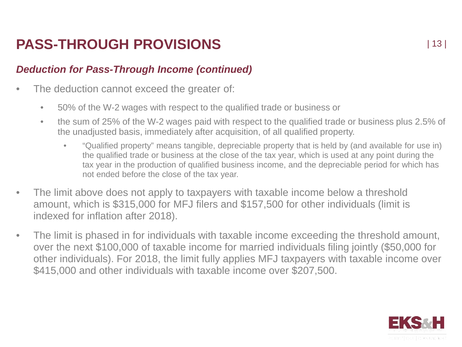### *Deduction for Pass-Through Income (continued)*

- The deduction cannot exceed the greater of:
	- 50% of the W-2 wages with respect to the qualified trade or business or
	- the sum of 25% of the W-2 wages paid with respect to the qualified trade or business plus 2.5% of the unadjusted basis, immediately after acquisition, of all qualified property.
		- "Qualified property" means tangible, depreciable property that is held by (and available for use in) the qualified trade or business at the close of the tax year, which is used at any point during the tax year in the production of qualified business income, and the depreciable period for which has not ended before the close of the tax year.
- The limit above does not apply to taxpayers with taxable income below a threshold amount, which is \$315,000 for MFJ filers and \$157,500 for other individuals (limit is indexed for inflation after 2018).
- The limit is phased in for individuals with taxable income exceeding the threshold amount, over the next \$100,000 of taxable income for married individuals filing jointly (\$50,000 for other individuals). For 2018, the limit fully applies MFJ taxpayers with taxable income over \$415,000 and other individuals with taxable income over \$207,500.

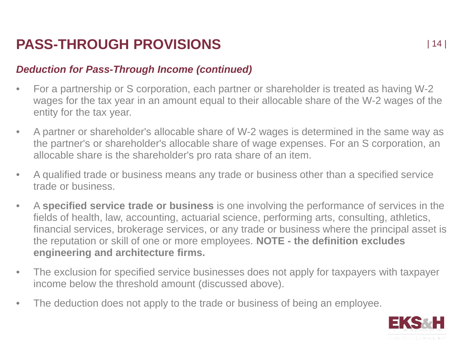#### *Deduction for Pass-Through Income (continued)*

- For a partnership or S corporation, each partner or shareholder is treated as having W-2 wages for the tax year in an amount equal to their allocable share of the W-2 wages of the entity for the tax year.
- A partner or shareholder's allocable share of W-2 wages is determined in the same way as the partner's or shareholder's allocable share of wage expenses. For an S corporation, an allocable share is the shareholder's pro rata share of an item.
- A qualified trade or business means any trade or business other than a specified service trade or business.
- A **specified service trade or business** is one involving the performance of services in the fields of health, law, accounting, actuarial science, performing arts, consulting, athletics, financial services, brokerage services, or any trade or business where the principal asset is the reputation or skill of one or more employees. **NOTE - the definition excludes engineering and architecture firms.**
- The exclusion for specified service businesses does not apply for taxpayers with taxpayer income below the threshold amount (discussed above).
- The deduction does not apply to the trade or business of being an employee.

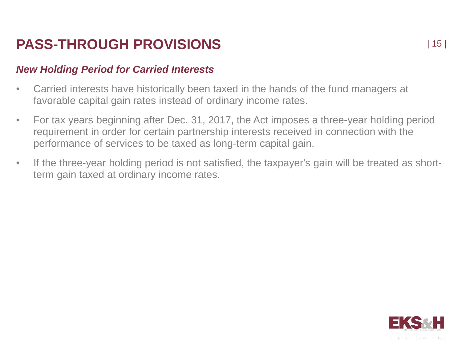### *New Holding Period for Carried Interests*

- Carried interests have historically been taxed in the hands of the fund managers at favorable capital gain rates instead of ordinary income rates.
- For tax years beginning after Dec. 31, 2017, the Act imposes a three-year holding period requirement in order for certain partnership interests received in connection with the performance of services to be taxed as long-term capital gain.
- If the three-year holding period is not satisfied, the taxpayer's gain will be treated as shortterm gain taxed at ordinary income rates.

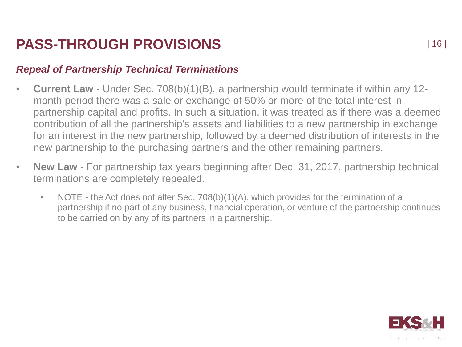#### *Repeal of Partnership Technical Terminations*

- **Current Law** Under Sec. 708(b)(1)(B), a partnership would terminate if within any 12 month period there was a sale or exchange of 50% or more of the total interest in partnership capital and profits. In such a situation, it was treated as if there was a deemed contribution of all the partnership's assets and liabilities to a new partnership in exchange for an interest in the new partnership, followed by a deemed distribution of interests in the new partnership to the purchasing partners and the other remaining partners.
- **New Law** For partnership tax years beginning after Dec. 31, 2017, partnership technical terminations are completely repealed.
	- NOTE the Act does not alter Sec. 708(b)(1)(A), which provides for the termination of a partnership if no part of any business, financial operation, or venture of the partnership continues to be carried on by any of its partners in a partnership.

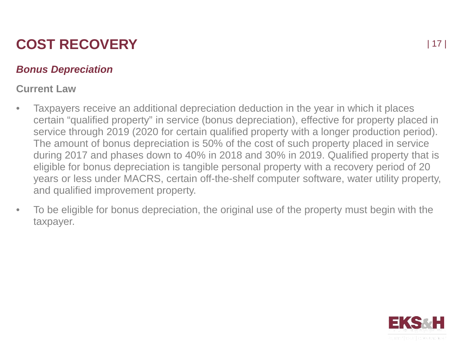### *Bonus Depreciation*

### **Current Law**

- Taxpayers receive an additional depreciation deduction in the year in which it places certain "qualified property" in service (bonus depreciation), effective for property placed in service through 2019 (2020 for certain qualified property with a longer production period). The amount of bonus depreciation is 50% of the cost of such property placed in service during 2017 and phases down to 40% in 2018 and 30% in 2019. Qualified property that is eligible for bonus depreciation is tangible personal property with a recovery period of 20 years or less under MACRS, certain off-the-shelf computer software, water utility property, and qualified improvement property.
- To be eligible for bonus depreciation, the original use of the property must begin with the taxpayer.

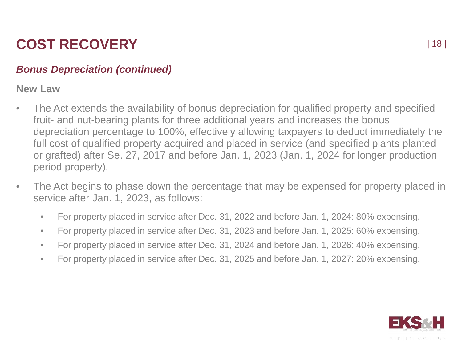### *Bonus Depreciation (continued)*

**New Law**

- The Act extends the availability of bonus depreciation for qualified property and specified fruit- and nut-bearing plants for three additional years and increases the bonus depreciation percentage to 100%, effectively allowing taxpayers to deduct immediately the full cost of qualified property acquired and placed in service (and specified plants planted or grafted) after Se. 27, 2017 and before Jan. 1, 2023 (Jan. 1, 2024 for longer production period property).
- The Act begins to phase down the percentage that may be expensed for property placed in service after Jan. 1, 2023, as follows:
	- For property placed in service after Dec. 31, 2022 and before Jan. 1, 2024: 80% expensing.
	- For property placed in service after Dec. 31, 2023 and before Jan. 1, 2025: 60% expensing.
	- For property placed in service after Dec. 31, 2024 and before Jan. 1, 2026: 40% expensing.
	- For property placed in service after Dec. 31, 2025 and before Jan. 1, 2027: 20% expensing.

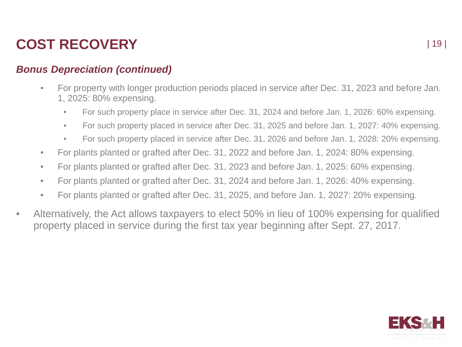### *Bonus Depreciation (continued)*

- For property with longer production periods placed in service after Dec. 31, 2023 and before Jan. 1, 2025: 80% expensing.
	- For such property place in service after Dec. 31, 2024 and before Jan. 1, 2026: 60% expensing.
	- For such property placed in service after Dec. 31, 2025 and before Jan. 1, 2027: 40% expensing.
	- For such property placed in service after Dec. 31, 2026 and before Jan. 1, 2028: 20% expensing.
- For plants planted or grafted after Dec. 31, 2022 and before Jan. 1, 2024: 80% expensing.
- For plants planted or grafted after Dec. 31, 2023 and before Jan. 1, 2025: 60% expensing.
- For plants planted or grafted after Dec. 31, 2024 and before Jan. 1, 2026: 40% expensing.
- For plants planted or grafted after Dec. 31, 2025, and before Jan. 1, 2027: 20% expensing.
- Alternatively, the Act allows taxpayers to elect 50% in lieu of 100% expensing for qualified property placed in service during the first tax year beginning after Sept. 27, 2017.

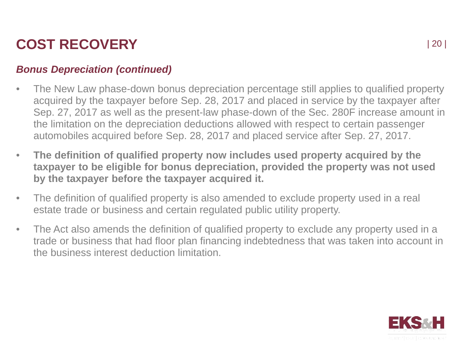### *Bonus Depreciation (continued)*

- The New Law phase-down bonus depreciation percentage still applies to qualified property acquired by the taxpayer before Sep. 28, 2017 and placed in service by the taxpayer after Sep. 27, 2017 as well as the present-law phase-down of the Sec. 280F increase amount in the limitation on the depreciation deductions allowed with respect to certain passenger automobiles acquired before Sep. 28, 2017 and placed service after Sep. 27, 2017.
- **The definition of qualified property now includes used property acquired by the taxpayer to be eligible for bonus depreciation, provided the property was not used by the taxpayer before the taxpayer acquired it.**
- The definition of qualified property is also amended to exclude property used in a real estate trade or business and certain regulated public utility property.
- The Act also amends the definition of qualified property to exclude any property used in a trade or business that had floor plan financing indebtedness that was taken into account in the business interest deduction limitation.

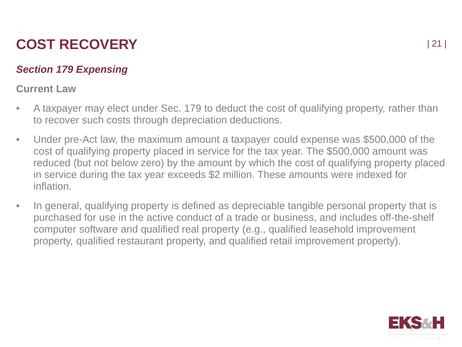### *Section 179 Expensing*

#### **Current Law**

- A taxpayer may elect under Sec. 179 to deduct the cost of qualifying property, rather than to recover such costs through depreciation deductions.
- Under pre-Act law, the maximum amount a taxpayer could expense was \$500,000 of the cost of qualifying property placed in service for the tax year. The \$500,000 amount was reduced (but not below zero) by the amount by which the cost of qualifying property placed in service during the tax year exceeds \$2 million. These amounts were indexed for inflation.
- In general, qualifying property is defined as depreciable tangible personal property that is purchased for use in the active conduct of a trade or business, and includes off-the-shelf computer software and qualified real property (e.g., qualified leasehold improvement property, qualified restaurant property, and qualified retail improvement property).

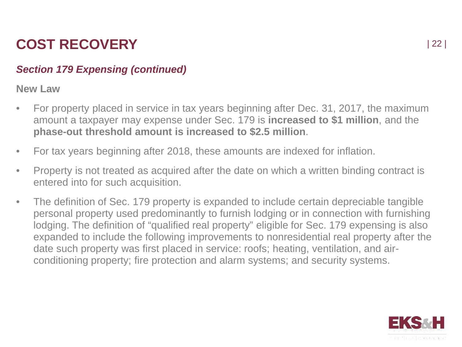### *Section 179 Expensing (continued)*

**New Law**

- For property placed in service in tax years beginning after Dec. 31, 2017, the maximum amount a taxpayer may expense under Sec. 179 is **increased to \$1 million**, and the **phase-out threshold amount is increased to \$2.5 million**.
- For tax years beginning after 2018, these amounts are indexed for inflation.
- Property is not treated as acquired after the date on which a written binding contract is entered into for such acquisition.
- The definition of Sec. 179 property is expanded to include certain depreciable tangible personal property used predominantly to furnish lodging or in connection with furnishing lodging. The definition of "qualified real property" eligible for Sec. 179 expensing is also expanded to include the following improvements to nonresidential real property after the date such property was first placed in service: roofs; heating, ventilation, and airconditioning property; fire protection and alarm systems; and security systems.

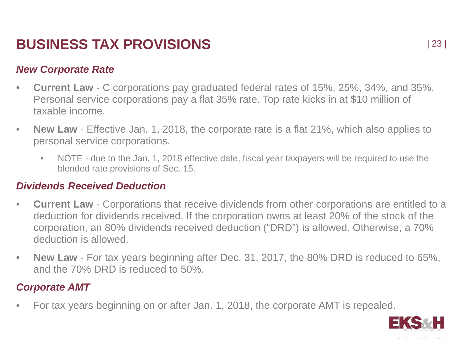#### *New Corporate Rate*

- **Current Law** C corporations pay graduated federal rates of 15%, 25%, 34%, and 35%. Personal service corporations pay a flat 35% rate. Top rate kicks in at \$10 million of taxable income.
- **New Law** Effective Jan. 1, 2018, the corporate rate is a flat 21%, which also applies to personal service corporations.
	- NOTE due to the Jan. 1, 2018 effective date, fiscal year taxpayers will be required to use the blended rate provisions of Sec. 15.

#### *Dividends Received Deduction*

- **Current Law** Corporations that receive dividends from other corporations are entitled to a deduction for dividends received. If the corporation owns at least 20% of the stock of the corporation, an 80% dividends received deduction ("DRD") is allowed. Otherwise, a 70% deduction is allowed.
- **New Law** For tax years beginning after Dec. 31, 2017, the 80% DRD is reduced to 65%, and the 70% DRD is reduced to 50%.

### *Corporate AMT*

• For tax years beginning on or after Jan. 1, 2018, the corporate AMT is repealed.

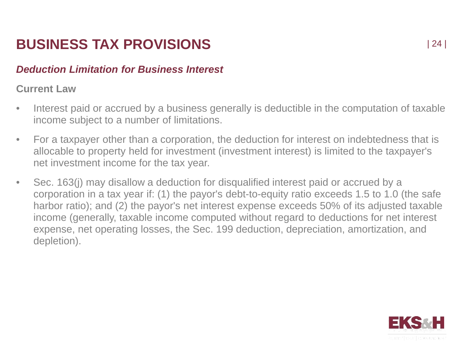#### *Deduction Limitation for Business Interest*

#### **Current Law**

- Interest paid or accrued by a business generally is deductible in the computation of taxable income subject to a number of limitations.
- For a taxpayer other than a corporation, the deduction for interest on indebtedness that is allocable to property held for investment (investment interest) is limited to the taxpayer's net investment income for the tax year.
- Sec. 163(j) may disallow a deduction for disqualified interest paid or accrued by a corporation in a tax year if: (1) the payor's debt-to-equity ratio exceeds 1.5 to 1.0 (the safe harbor ratio); and (2) the payor's net interest expense exceeds 50% of its adjusted taxable income (generally, taxable income computed without regard to deductions for net interest expense, net operating losses, the Sec. 199 deduction, depreciation, amortization, and depletion).

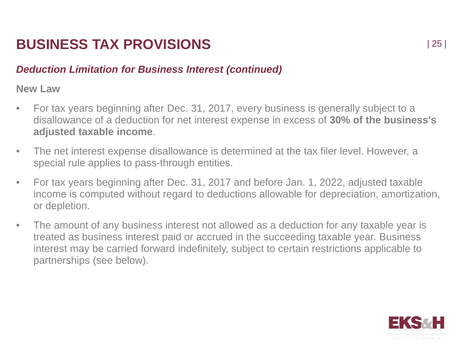### *Deduction Limitation for Business Interest (continued)*

**New Law**

- For tax years beginning after Dec. 31, 2017, every business is generally subject to a disallowance of a deduction for net interest expense in excess of **30% of the business's adjusted taxable income**.
- The net interest expense disallowance is determined at the tax filer level. However, a special rule applies to pass-through entities.
- For tax years beginning after Dec. 31, 2017 and before Jan. 1, 2022, adjusted taxable income is computed without regard to deductions allowable for depreciation, amortization, or depletion.
- The amount of any business interest not allowed as a deduction for any taxable year is treated as business interest paid or accrued in the succeeding taxable year. Business interest may be carried forward indefinitely, subject to certain restrictions applicable to partnerships (see below).

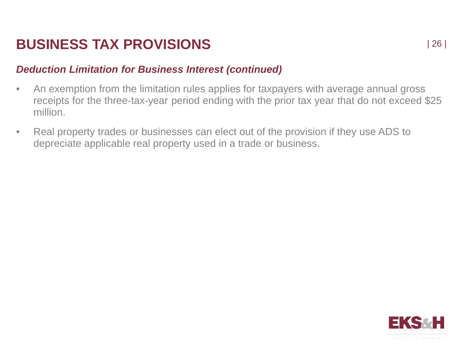### *Deduction Limitation for Business Interest (continued)*

- An exemption from the limitation rules applies for taxpayers with average annual gross receipts for the three-tax-year period ending with the prior tax year that do not exceed \$25 million.
- Real property trades or businesses can elect out of the provision if they use ADS to depreciate applicable real property used in a trade or business.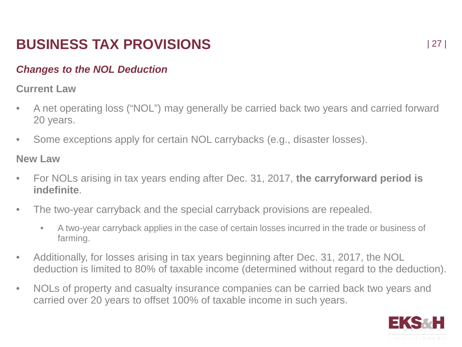### *Changes to the NOL Deduction*

#### **Current Law**

- A net operating loss ("NOL") may generally be carried back two years and carried forward 20 years.
- Some exceptions apply for certain NOL carrybacks (e.g., disaster losses).

**New Law**

- For NOLs arising in tax years ending after Dec. 31, 2017, **the carryforward period is indefinite**.
- The two-year carryback and the special carryback provisions are repealed.
	- A two-year carryback applies in the case of certain losses incurred in the trade or business of farming.
- Additionally, for losses arising in tax years beginning after Dec. 31, 2017, the NOL deduction is limited to 80% of taxable income (determined without regard to the deduction).
- NOLs of property and casualty insurance companies can be carried back two years and carried over 20 years to offset 100% of taxable income in such years.

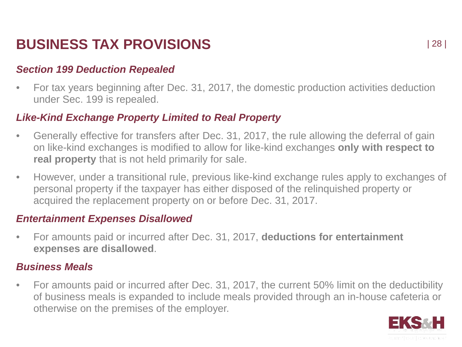#### *Section 199 Deduction Repealed*

• For tax years beginning after Dec. 31, 2017, the domestic production activities deduction under Sec. 199 is repealed.

#### *Like-Kind Exchange Property Limited to Real Property*

- Generally effective for transfers after Dec. 31, 2017, the rule allowing the deferral of gain on like-kind exchanges is modified to allow for like-kind exchanges **only with respect to real property** that is not held primarily for sale.
- However, under a transitional rule, previous like-kind exchange rules apply to exchanges of personal property if the taxpayer has either disposed of the relinquished property or acquired the replacement property on or before Dec. 31, 2017.

#### *Entertainment Expenses Disallowed*

• For amounts paid or incurred after Dec. 31, 2017, **deductions for entertainment expenses are disallowed**.

#### *Business Meals*

• For amounts paid or incurred after Dec. 31, 2017, the current 50% limit on the deductibility of business meals is expanded to include meals provided through an in-house cafeteria or otherwise on the premises of the employer.

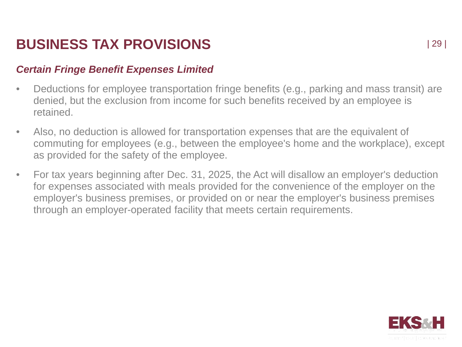#### *Certain Fringe Benefit Expenses Limited*

- Deductions for employee transportation fringe benefits (e.g., parking and mass transit) are denied, but the exclusion from income for such benefits received by an employee is retained.
- Also, no deduction is allowed for transportation expenses that are the equivalent of commuting for employees (e.g., between the employee's home and the workplace), except as provided for the safety of the employee.
- For tax years beginning after Dec. 31, 2025, the Act will disallow an employer's deduction for expenses associated with meals provided for the convenience of the employer on the employer's business premises, or provided on or near the employer's business premises through an employer-operated facility that meets certain requirements.

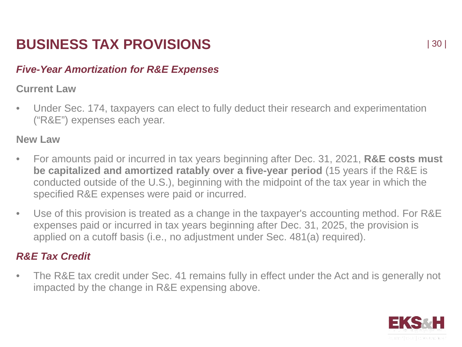### *Five-Year Amortization for R&E Expenses*

#### **Current Law**

• Under Sec. 174, taxpayers can elect to fully deduct their research and experimentation ("R&E") expenses each year.

#### **New Law**

- For amounts paid or incurred in tax years beginning after Dec. 31, 2021, **R&E costs must be capitalized and amortized ratably over a five-year period** (15 years if the R&E is conducted outside of the U.S.), beginning with the midpoint of the tax year in which the specified R&E expenses were paid or incurred.
- Use of this provision is treated as a change in the taxpayer's accounting method. For R&E expenses paid or incurred in tax years beginning after Dec. 31, 2025, the provision is applied on a cutoff basis (i.e., no adjustment under Sec. 481(a) required).

### *R&E Tax Credit*

• The R&E tax credit under Sec. 41 remains fully in effect under the Act and is generally not impacted by the change in R&E expensing above.

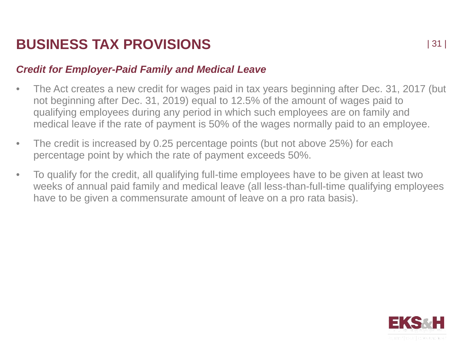#### *Credit for Employer-Paid Family and Medical Leave*

- The Act creates a new credit for wages paid in tax years beginning after Dec. 31, 2017 (but not beginning after Dec. 31, 2019) equal to 12.5% of the amount of wages paid to qualifying employees during any period in which such employees are on family and medical leave if the rate of payment is 50% of the wages normally paid to an employee.
- The credit is increased by 0.25 percentage points (but not above 25%) for each percentage point by which the rate of payment exceeds 50%.
- To qualify for the credit, all qualifying full-time employees have to be given at least two weeks of annual paid family and medical leave (all less-than-full-time qualifying employees have to be given a commensurate amount of leave on a pro rata basis).

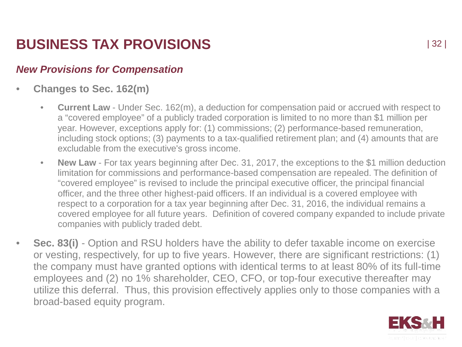### *New Provisions for Compensation*

- **Changes to Sec. 162(m)**
	- **Current Law**  Under Sec. 162(m), a deduction for compensation paid or accrued with respect to a "covered employee" of a publicly traded corporation is limited to no more than \$1 million per year. However, exceptions apply for: (1) commissions; (2) performance-based remuneration, including stock options; (3) payments to a tax-qualified retirement plan; and (4) amounts that are excludable from the executive's gross income.
	- **New Law** For tax years beginning after Dec. 31, 2017, the exceptions to the \$1 million deduction limitation for commissions and performance-based compensation are repealed. The definition of "covered employee" is revised to include the principal executive officer, the principal financial officer, and the three other highest-paid officers. If an individual is a covered employee with respect to a corporation for a tax year beginning after Dec. 31, 2016, the individual remains a covered employee for all future years. Definition of covered company expanded to include private companies with publicly traded debt.
- **Sec. 83(i)** Option and RSU holders have the ability to defer taxable income on exercise or vesting, respectively, for up to five years. However, there are significant restrictions: (1) the company must have granted options with identical terms to at least 80% of its full-time employees and (2) no 1% shareholder, CEO, CFO, or top-four executive thereafter may utilize this deferral. Thus, this provision effectively applies only to those companies with a broad-based equity program.

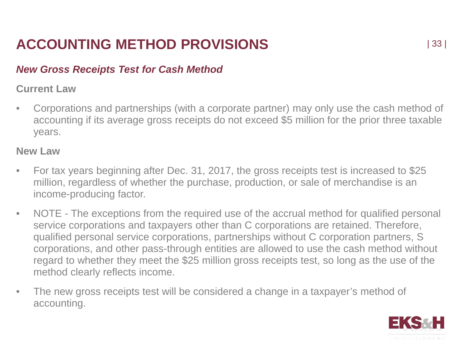# **ACCOUNTING METHOD PROVISIONS**

#### *New Gross Receipts Test for Cash Method*

#### **Current Law**

• Corporations and partnerships (with a corporate partner) may only use the cash method of accounting if its average gross receipts do not exceed \$5 million for the prior three taxable years.

#### **New Law**

- For tax years beginning after Dec. 31, 2017, the gross receipts test is increased to \$25 million, regardless of whether the purchase, production, or sale of merchandise is an income-producing factor.
- NOTE The exceptions from the required use of the accrual method for qualified personal service corporations and taxpayers other than C corporations are retained. Therefore, qualified personal service corporations, partnerships without C corporation partners, S corporations, and other pass-through entities are allowed to use the cash method without regard to whether they meet the \$25 million gross receipts test, so long as the use of the method clearly reflects income.
- The new gross receipts test will be considered a change in a taxpayer's method of accounting.

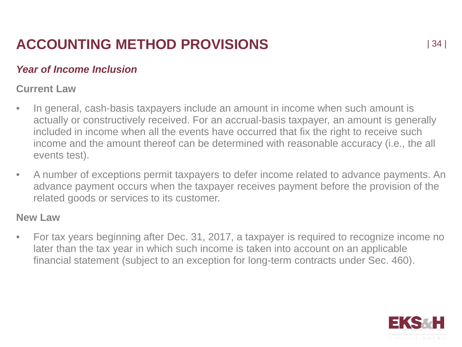# **ACCOUNTING METHOD PROVISIONS**

### *Year of Income Inclusion*

#### **Current Law**

- In general, cash-basis taxpayers include an amount in income when such amount is actually or constructively received. For an accrual-basis taxpayer, an amount is generally included in income when all the events have occurred that fix the right to receive such income and the amount thereof can be determined with reasonable accuracy (i.e., the all events test).
- A number of exceptions permit taxpayers to defer income related to advance payments. An advance payment occurs when the taxpayer receives payment before the provision of the related goods or services to its customer.

#### **New Law**

• For tax years beginning after Dec. 31, 2017, a taxpayer is required to recognize income no later than the tax year in which such income is taken into account on an applicable financial statement (subject to an exception for long-term contracts under Sec. 460).

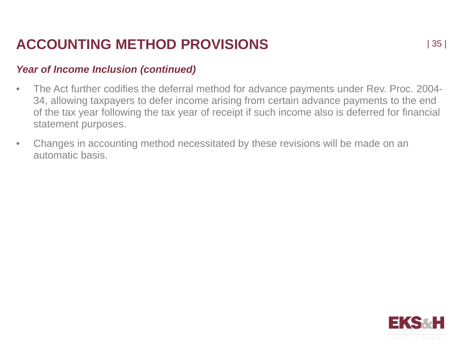### **ACCOUNTING METHOD PROVISIONS**

#### *Year of Income Inclusion (continued)*

- The Act further codifies the deferral method for advance payments under Rev. Proc. 2004- 34, allowing taxpayers to defer income arising from certain advance payments to the end of the tax year following the tax year of receipt if such income also is deferred for financial statement purposes.
- Changes in accounting method necessitated by these revisions will be made on an automatic basis.

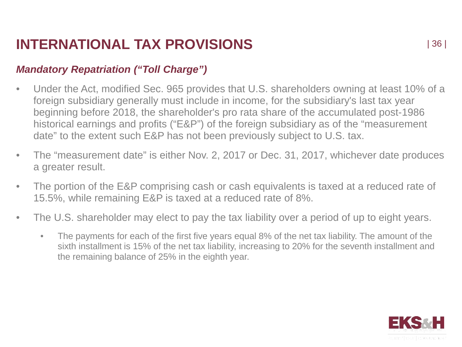### *Mandatory Repatriation ("Toll Charge")*

- Under the Act, modified Sec. 965 provides that U.S. shareholders owning at least 10% of a foreign subsidiary generally must include in income, for the subsidiary's last tax year beginning before 2018, the shareholder's pro rata share of the accumulated post-1986 historical earnings and profits ("E&P") of the foreign subsidiary as of the "measurement date" to the extent such E&P has not been previously subject to U.S. tax.
- The "measurement date" is either Nov. 2, 2017 or Dec. 31, 2017, whichever date produces a greater result.
- The portion of the E&P comprising cash or cash equivalents is taxed at a reduced rate of 15.5%, while remaining E&P is taxed at a reduced rate of 8%.
- The U.S. shareholder may elect to pay the tax liability over a period of up to eight years.
	- The payments for each of the first five years equal 8% of the net tax liability. The amount of the sixth installment is 15% of the net tax liability, increasing to 20% for the seventh installment and the remaining balance of 25% in the eighth year.

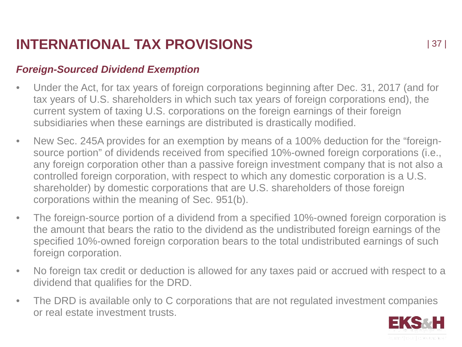### *Foreign-Sourced Dividend Exemption*

- Under the Act, for tax years of foreign corporations beginning after Dec. 31, 2017 (and for tax years of U.S. shareholders in which such tax years of foreign corporations end), the current system of taxing U.S. corporations on the foreign earnings of their foreign subsidiaries when these earnings are distributed is drastically modified.
- New Sec. 245A provides for an exemption by means of a 100% deduction for the "foreignsource portion" of dividends received from specified 10%-owned foreign corporations (i.e., any foreign corporation other than a passive foreign investment company that is not also a controlled foreign corporation, with respect to which any domestic corporation is a U.S. shareholder) by domestic corporations that are U.S. shareholders of those foreign corporations within the meaning of Sec. 951(b).
- The foreign-source portion of a dividend from a specified 10%-owned foreign corporation is the amount that bears the ratio to the dividend as the undistributed foreign earnings of the specified 10%-owned foreign corporation bears to the total undistributed earnings of such foreign corporation.
- No foreign tax credit or deduction is allowed for any taxes paid or accrued with respect to a dividend that qualifies for the DRD.
- The DRD is available only to C corporations that are not regulated investment companies or real estate investment trusts.

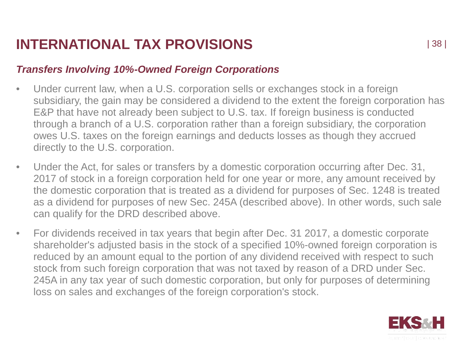### *Transfers Involving 10%-Owned Foreign Corporations*

- Under current law, when a U.S. corporation sells or exchanges stock in a foreign subsidiary, the gain may be considered a dividend to the extent the foreign corporation has E&P that have not already been subject to U.S. tax. If foreign business is conducted through a branch of a U.S. corporation rather than a foreign subsidiary, the corporation owes U.S. taxes on the foreign earnings and deducts losses as though they accrued directly to the U.S. corporation.
- Under the Act, for sales or transfers by a domestic corporation occurring after Dec. 31, 2017 of stock in a foreign corporation held for one year or more, any amount received by the domestic corporation that is treated as a dividend for purposes of Sec. 1248 is treated as a dividend for purposes of new Sec. 245A (described above). In other words, such sale can qualify for the DRD described above.
- For dividends received in tax years that begin after Dec. 31 2017, a domestic corporate shareholder's adjusted basis in the stock of a specified 10%-owned foreign corporation is reduced by an amount equal to the portion of any dividend received with respect to such stock from such foreign corporation that was not taxed by reason of a DRD under Sec. 245A in any tax year of such domestic corporation, but only for purposes of determining loss on sales and exchanges of the foreign corporation's stock.

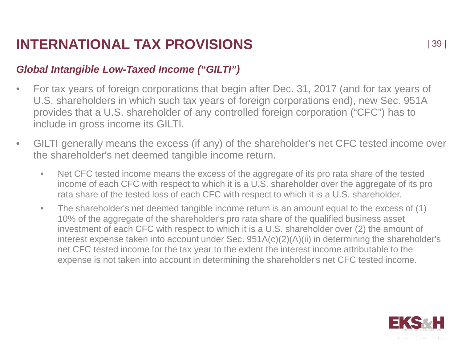### *Global Intangible Low-Taxed Income ("GILTI")*

- For tax years of foreign corporations that begin after Dec. 31, 2017 (and for tax years of U.S. shareholders in which such tax years of foreign corporations end), new Sec. 951A provides that a U.S. shareholder of any controlled foreign corporation ("CFC") has to include in gross income its GILTI.
- GILTI generally means the excess (if any) of the shareholder's net CFC tested income over the shareholder's net deemed tangible income return.
	- Net CFC tested income means the excess of the aggregate of its pro rata share of the tested income of each CFC with respect to which it is a U.S. shareholder over the aggregate of its pro rata share of the tested loss of each CFC with respect to which it is a U.S. shareholder.
	- The shareholder's net deemed tangible income return is an amount equal to the excess of (1) 10% of the aggregate of the shareholder's pro rata share of the qualified business asset investment of each CFC with respect to which it is a U.S. shareholder over (2) the amount of interest expense taken into account under Sec. 951A(c)(2)(A)(ii) in determining the shareholder's net CFC tested income for the tax year to the extent the interest income attributable to the expense is not taken into account in determining the shareholder's net CFC tested income.

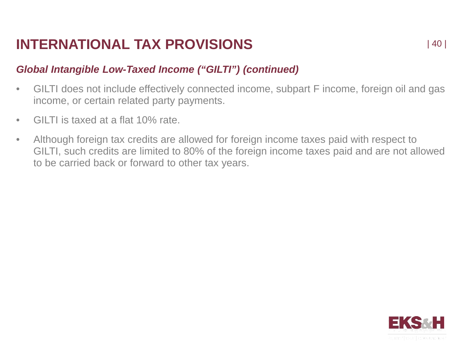### *Global Intangible Low-Taxed Income ("GILTI") (continued)*

- GILTI does not include effectively connected income, subpart F income, foreign oil and gas income, or certain related party payments.
- GILTI is taxed at a flat 10% rate.
- Although foreign tax credits are allowed for foreign income taxes paid with respect to GILTI, such credits are limited to 80% of the foreign income taxes paid and are not allowed to be carried back or forward to other tax years.

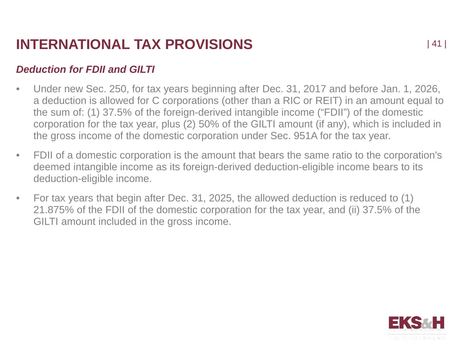### *Deduction for FDII and GILTI*

- Under new Sec. 250, for tax years beginning after Dec. 31, 2017 and before Jan. 1, 2026, a deduction is allowed for C corporations (other than a RIC or REIT) in an amount equal to the sum of: (1) 37.5% of the foreign-derived intangible income ("FDII") of the domestic corporation for the tax year, plus (2) 50% of the GILTI amount (if any), which is included in the gross income of the domestic corporation under Sec. 951A for the tax year.
- FDII of a domestic corporation is the amount that bears the same ratio to the corporation's deemed intangible income as its foreign-derived deduction-eligible income bears to its deduction-eligible income.
- For tax years that begin after Dec. 31, 2025, the allowed deduction is reduced to (1) 21.875% of the FDII of the domestic corporation for the tax year, and (ii) 37.5% of the GILTI amount included in the gross income.

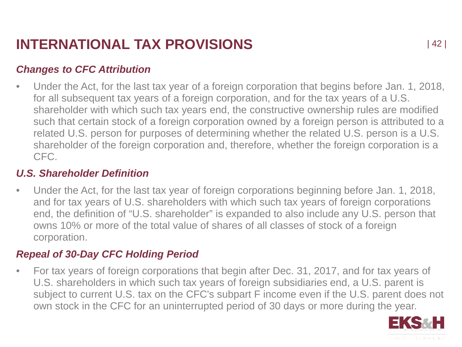### *Changes to CFC Attribution*

• Under the Act, for the last tax year of a foreign corporation that begins before Jan. 1, 2018, for all subsequent tax years of a foreign corporation, and for the tax years of a U.S. shareholder with which such tax years end, the constructive ownership rules are modified such that certain stock of a foreign corporation owned by a foreign person is attributed to a related U.S. person for purposes of determining whether the related U.S. person is a U.S. shareholder of the foreign corporation and, therefore, whether the foreign corporation is a CFC.

#### *U.S. Shareholder Definition*

• Under the Act, for the last tax year of foreign corporations beginning before Jan. 1, 2018, and for tax years of U.S. shareholders with which such tax years of foreign corporations end, the definition of "U.S. shareholder" is expanded to also include any U.S. person that owns 10% or more of the total value of shares of all classes of stock of a foreign corporation.

#### *Repeal of 30-Day CFC Holding Period*

• For tax years of foreign corporations that begin after Dec. 31, 2017, and for tax years of U.S. shareholders in which such tax years of foreign subsidiaries end, a U.S. parent is subject to current U.S. tax on the CFC's subpart F income even if the U.S. parent does not own stock in the CFC for an uninterrupted period of 30 days or more during the year.

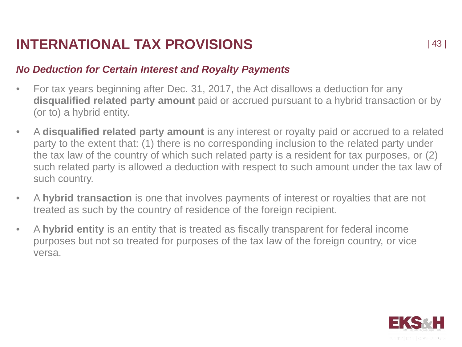#### *No Deduction for Certain Interest and Royalty Payments*

- For tax years beginning after Dec. 31, 2017, the Act disallows a deduction for any **disqualified related party amount** paid or accrued pursuant to a hybrid transaction or by (or to) a hybrid entity.
- A **disqualified related party amount** is any interest or royalty paid or accrued to a related party to the extent that: (1) there is no corresponding inclusion to the related party under the tax law of the country of which such related party is a resident for tax purposes, or (2) such related party is allowed a deduction with respect to such amount under the tax law of such country.
- A **hybrid transaction** is one that involves payments of interest or royalties that are not treated as such by the country of residence of the foreign recipient.
- A **hybrid entity** is an entity that is treated as fiscally transparent for federal income purposes but not so treated for purposes of the tax law of the foreign country, or vice versa.

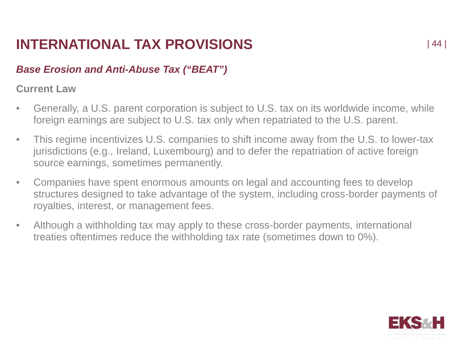### *Base Erosion and Anti-Abuse Tax ("BEAT")*

#### **Current Law**

- Generally, a U.S. parent corporation is subject to U.S. tax on its worldwide income, while foreign earnings are subject to U.S. tax only when repatriated to the U.S. parent.
- This regime incentivizes U.S. companies to shift income away from the U.S. to lower-tax jurisdictions (e.g., Ireland, Luxembourg) and to defer the repatriation of active foreign source earnings, sometimes permanently.
- Companies have spent enormous amounts on legal and accounting fees to develop structures designed to take advantage of the system, including cross-border payments of royalties, interest, or management fees.
- Although a withholding tax may apply to these cross-border payments, international treaties oftentimes reduce the withholding tax rate (sometimes down to 0%).

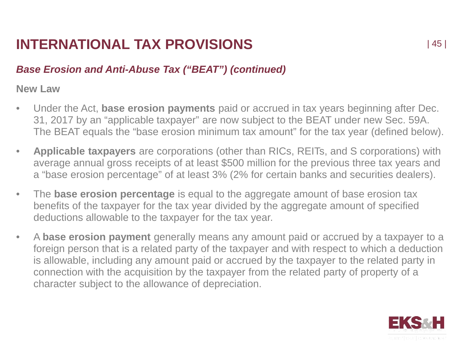### *Base Erosion and Anti-Abuse Tax ("BEAT") (continued)*

**New Law**

- Under the Act, **base erosion payments** paid or accrued in tax years beginning after Dec. 31, 2017 by an "applicable taxpayer" are now subject to the BEAT under new Sec. 59A. The BEAT equals the "base erosion minimum tax amount" for the tax year (defined below).
- **Applicable taxpayers** are corporations (other than RICs, REITs, and S corporations) with average annual gross receipts of at least \$500 million for the previous three tax years and a "base erosion percentage" of at least 3% (2% for certain banks and securities dealers).
- The **base erosion percentage** is equal to the aggregate amount of base erosion tax benefits of the taxpayer for the tax year divided by the aggregate amount of specified deductions allowable to the taxpayer for the tax year.
- A **base erosion payment** generally means any amount paid or accrued by a taxpayer to a foreign person that is a related party of the taxpayer and with respect to which a deduction is allowable, including any amount paid or accrued by the taxpayer to the related party in connection with the acquisition by the taxpayer from the related party of property of a character subject to the allowance of depreciation.

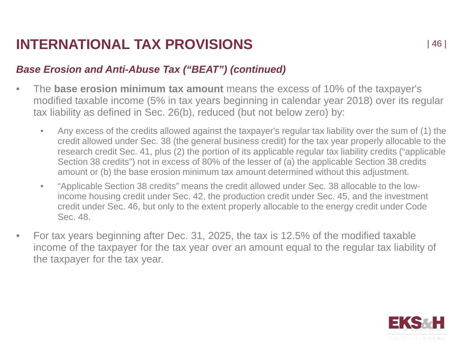### *Base Erosion and Anti-Abuse Tax ("BEAT") (continued)*

- The **base erosion minimum tax amount** means the excess of 10% of the taxpayer's modified taxable income (5% in tax years beginning in calendar year 2018) over its regular tax liability as defined in Sec. 26(b), reduced (but not below zero) by:
	- Any excess of the credits allowed against the taxpayer's regular tax liability over the sum of (1) the credit allowed under Sec. 38 (the general business credit) for the tax year properly allocable to the research credit Sec. 41, plus (2) the portion of its applicable regular tax liability credits ("applicable Section 38 credits") not in excess of 80% of the lesser of (a) the applicable Section 38 credits amount or (b) the base erosion minimum tax amount determined without this adjustment.
	- "Applicable Section 38 credits" means the credit allowed under Sec. 38 allocable to the lowincome housing credit under Sec. 42, the production credit under Sec. 45, and the investment credit under Sec. 46, but only to the extent properly allocable to the energy credit under Code Sec. 48.
- For tax years beginning after Dec. 31, 2025, the tax is 12.5% of the modified taxable income of the taxpayer for the tax year over an amount equal to the regular tax liability of the taxpayer for the tax year.

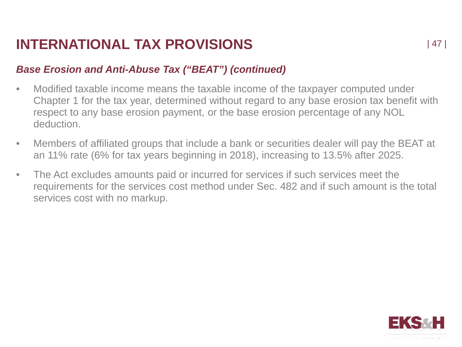### *Base Erosion and Anti-Abuse Tax ("BEAT") (continued)*

- Modified taxable income means the taxable income of the taxpayer computed under Chapter 1 for the tax year, determined without regard to any base erosion tax benefit with respect to any base erosion payment, or the base erosion percentage of any NOL deduction.
- Members of affiliated groups that include a bank or securities dealer will pay the BEAT at an 11% rate (6% for tax years beginning in 2018), increasing to 13.5% after 2025.
- The Act excludes amounts paid or incurred for services if such services meet the requirements for the services cost method under Sec. 482 and if such amount is the total services cost with no markup.